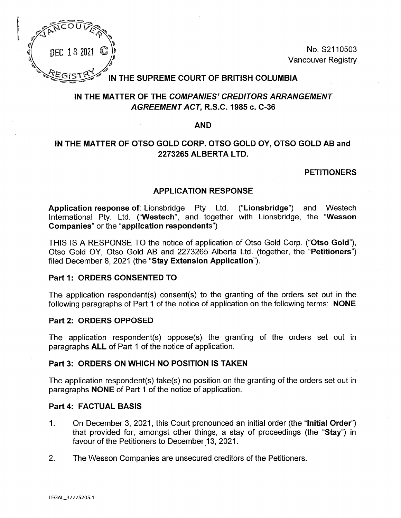

DEC 13 2021  $\mathbb{G}$  and  $\mathbb{C}$  and  $\mathbb{C}$  are  $\mathbb{C}$  and  $\mathbb{C}$  are  $\mathbb{C}$  and  $\mathbb{C}$  and  $\mathbb{C}$  are  $\mathbb{C}$  and  $\mathbb{C}$  are  $\mathbb{C}$  and  $\mathbb{C}$  are  $\mathbb{C}$  and  $\mathbb{C}$  are  $\mathbb{C}$  and  $\mathbb{C}$  and  $\begin{pmatrix} \n\frac{1}{2} & \frac{1}{2} \\
\frac{1}{2} & \frac{1}{2} \\
\frac{1}{2} & \frac{1}{2} \\
\frac{1}{2} & \frac{1}{2} \\
\frac{1}{2} & \frac{1}{2} \\
\frac{1}{2} & \frac{1}{2} \\
\frac{1}{2} & \frac{1}{2} \\
\frac{1}{2} & \frac{1}{2} \\
\frac{1}{2} & \frac{1}{2} \\
\frac{1}{2} & \frac{1}{2} \\
\frac{1}{2} & \frac{1}{2} \\
\frac{1}{2} & \frac{1$ 

# **IN THE SUPREME COURT OF BRITISH COLUMBIA**

# **IN THE MATTER OF THE COMPANIES' CREDITORS ARRANGEMENT AGREEMENT ACT, R.S.C. 1985 c. C-36**

### **AND**

# **IN THE MATTER OF OTSO GOLD CORP. OTSO GOLD OY, OTSO GOLD AB and 2273265 ALBERTA LTD.**

## **PETITIONERS**

#### **APPLICATION RESPONSE**

**Application response of:** Lionsbridge Pty Ltd. ("Lionsbridge") and Westech International Pty. Ltd. **("Westech",** and together with Lionsbridge, the **"Wesson Companies"** or the **"application respondents")**

THIS IS A RESPONSE TO the notice of application of Otso Gold Corp. **("Otso Gold"),** Otso Gold OY, Otso Gold AB and 2273265 Alberta Ltd. (together, the "Petitioners") filed December 8, 2021 (the "Stay **Extension Application").**

#### **Part 1: ORDERS CONSENTED TO**

The application respondent(s) consent(s) to the granting of the orders set out in the following paragraphs of Part 1 of the notice of application on the following terms: NONE

#### **Part 2: ORDERS OPPOSED**

The application respondent(s) oppose(s) the granting of the orders set out in paragraphs ALL of Part <sup>1</sup> of the notice of application.

#### **Part 3: ORDERS ON WHICH NO POSITION IS TAKEN**

The application respondent(s) take(s) no position on the granting of the orders set out in paragraphs NONE of Part <sup>1</sup> of the notice of application.

#### **Part 4: FACTUAL BASIS**

- 1. On December 3, 2021, this Court pronounced an initial order (the "Initial Order") that provided for, amongst other things, a stay of proceedings (the "Stay") in favour of the Petitioners to December 13, 2021.
- 2. The Wesson Companies are unsecured creditors of the Petitioners.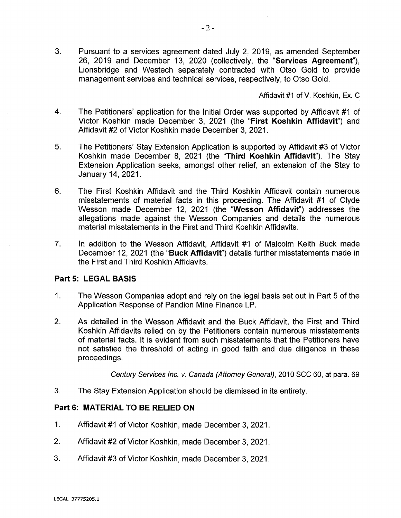3. Pursuant to a services agreement dated July 2, 2019, as amended September 26, 2019 and December 13, 2020 (collectively, the **"Services Agreement"),** Lionsbridge and Westech separately contracted with Otso Gold to provide management services and technical services, respectively, to Otso Gold.

Affidavit #1 of V. Koshkin, Ex. C

- 4. The Petitioners' application for the Initial Order was supported by Affidavit #1 of Victor Koshkin made December 3, 2021 (the "First Koshkin Affidavit") and Affidavit #2 of Victor Koshkin made December 3, 2021.
- 5. The Petitioners' Stay Extension Application is supported by Affidavit #3 of Victor Koshkin made December 8, 2021 (the "Third Koshkin Affidavit"). The Stay Extension Application seeks, amongst other relief, an extension of the Stay to January 14, 2021.
- 6. The First Koshkin Affidavit and the Third Koshkin Affidavit contain numerous misstatements of material facts in this proceeding. The Affidavit #1 of Clyde Wesson made December 12, 2021 (the "Wesson Affidavit") addresses the allegations made against the Wesson Companies and details the numerous material misstatements in the First and Third Koshkin Affidavits.
- 7. In addition to the Wesson Affidavit, Affidavit #1 of Malcolm Keith Buck made December 12, 2021 (the **"Buck Affidavit")** details further misstatements made in the First and Third Koshkin Affidavits.

#### **Part 5: LEGAL BASIS**

- 1. The Wesson Companies adopt and rely on the legal basis set out in Part 5 of the Application Response of Pandion Mine Finance LP.
- 2. As detailed in the Wesson Affidavit and the Buck Affidavit, the First and Third Koshkin Affidavits relied on by the Petitioners contain numerous misstatements of material facts. It is evident from such misstatements that the Petitioners have not satisfied the threshold of acting in good faith and due diligence in these proceedings.

Century Services Inc. v. Canada (Attorney General), 2010 SCC 60, at para. 69

3. The Stay Extension Application should be dismissed in its entirety.

## **Part 6: MATERIAL TO BE RELIED ON**

- 1. Affidavit #1 of Victor Koshkin, made December 3, 2021.
- 2. Affidavit #2 of Victor Koshkin, made December 3, 2021.
- 3. Affidavit #3 of Victor Koshkin, made December 3, 2021.